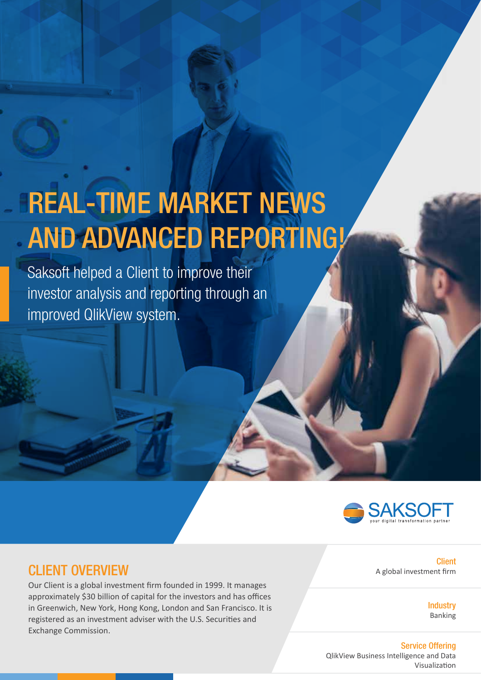# REAL-TIME MARKET NEWS AND ADVANCED REPORTING!

Saksoft helped a Client to improve their investor analysis and reporting through an improved QlikView system.



## CLIENT OVERVIEW

Our Client is a global investment firm founded in 1999. It manages approximately \$30 billion of capital for the investors and has offices in Greenwich, New York, Hong Kong, London and San Francisco. It is registered as an investment adviser with the U.S. Securities and Exchange Commission.

Client A global investment firm

> **Industry** Banking

#### Service Offering

QlikView Business Intelligence and Data Visualization